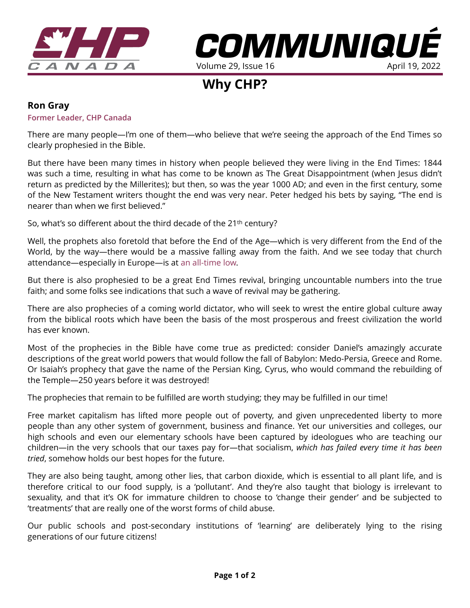



**Why CHP?** 

## **Ron Gray**

## **Former Leader, CHP Canada**

There are many people—I'm one of them—who believe that we're seeing the approach of the End Times so clearly prophesied in the Bible.

But there have been many times in history when people believed they were living in the End Times: 1844 was such a time, resulting in what has come to be known as The Great Disappointment (when Jesus didn't return as predicted by the Millerites); but then, so was the year 1000 AD; and even in the first century, some of the New Testament writers thought the end was very near. Peter hedged his bets by saying, "The end is nearer than when we first believed."

So, what's so different about the third decade of the 21<sup>th</sup> century?

Well, the prophets also foretold that before the End of the Age—which is very different from the End of the World, by the way—there would be a massive falling away from the faith. And we see today that church attendance—especially in Europe—is at [an all-time low.](https://www.pewresearch.org/religion/2018/06/13/how-religious-commitment-varies-by-country-among-people-of-all-ages/)

But there is also prophesied to be a great End Times revival, bringing uncountable numbers into the true faith; and some folks see indications that such a wave of revival may be gathering.

There are also prophecies of a coming world dictator, who will seek to wrest the entire global culture away from the biblical roots which have been the basis of the most prosperous and freest civilization the world has ever known.

Most of the prophecies in the Bible have come true as predicted: consider Daniel's amazingly accurate descriptions of the great world powers that would follow the fall of Babylon: Medo-Persia, Greece and Rome. Or Isaiah's prophecy that gave the name of the Persian King, Cyrus, who would command the rebuilding of the Temple—250 years before it was destroyed!

The prophecies that remain to be fulfilled are worth studying; they may be fulfilled in our time!

Free market capitalism has lifted more people out of poverty, and given unprecedented liberty to more people than any other system of government, business and finance. Yet our universities and colleges, our high schools and even our elementary schools have been captured by ideologues who are teaching our children—in the very schools that our taxes pay for—that socialism, *which has failed every time it has been tried*, somehow holds our best hopes for the future.

They are also being taught, among other lies, that carbon dioxide, which is essential to all plant life, and is therefore critical to our food supply, is a 'pollutant'. And they're also taught that biology is irrelevant to sexuality, and that it's OK for immature children to choose to 'change their gender' and be subjected to 'treatments' that are really one of the worst forms of child abuse.

Our public schools and post-secondary institutions of 'learning' are deliberately lying to the rising generations of our future citizens!